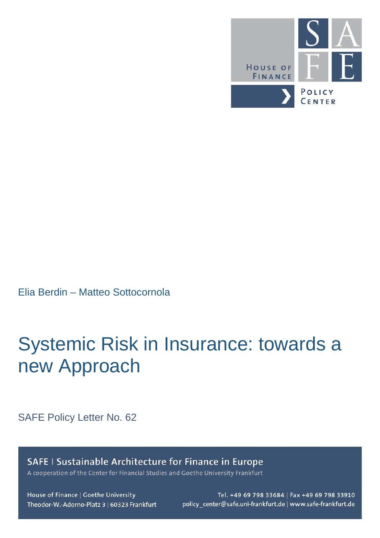

Elia Berdin – Matteo Sottocornola

# Systemic Risk in Insurance: towards a new Approach

SAFE Policy Letter No. 62

SAFE I Sustainable Architecture for Finance in Europe A cooperation of the Center for Financial Studies and Goethe University Frankfurt

House of Finance | Goethe University Theodor-W.-Adorno-Platz 3 | 60323 Frankfurt

Tel. +49 69 798 33684 | Fax +49 69 798 33910 policy\_center@safe.uni-frankfurt.de | www.safe-frankfurt.de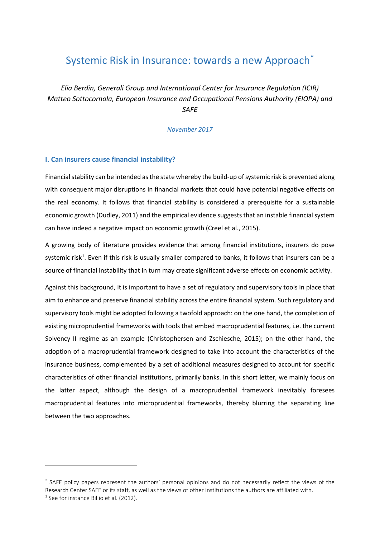# Systemic Risk in Insurance: towards a new Approach<sup>[\\*](#page-1-0)</sup>

*Elia Berdin, Generali Group and International Center for Insurance Regulation (ICIR) Matteo Sottocornola, European Insurance and Occupational Pensions Authority (EIOPA) and SAFE*

*November 2017*

#### **I. Can insurers cause financial instability?**

 $\overline{a}$ 

Financial stability can be intended as the state whereby the build-up of systemic risk is prevented along with consequent major disruptions in financial markets that could have potential negative effects on the real economy. It follows that financial stability is considered a prerequisite for a sustainable economic growth (Dudley, 2011) and the empirical evidence suggests that an instable financial system can have indeed a negative impact on economic growth (Creel et al., 2015).

A growing body of literature provides evidence that among financial institutions, insurers do pose systemic risk<sup>[1](#page-1-1)</sup>. Even if this risk is usually smaller compared to banks, it follows that insurers can be a source of financial instability that in turn may create significant adverse effects on economic activity.

Against this background, it is important to have a set of regulatory and supervisory tools in place that aim to enhance and preserve financial stability across the entire financial system. Such regulatory and supervisory tools might be adopted following a twofold approach: on the one hand, the completion of existing microprudential frameworks with tools that embed macroprudential features, i.e. the current Solvency II regime as an example (Christophersen and Zschiesche, 2015); on the other hand, the adoption of a macroprudential framework designed to take into account the characteristics of the insurance business, complemented by a set of additional measures designed to account for specific characteristics of other financial institutions, primarily banks. In this short letter, we mainly focus on the latter aspect, although the design of a macroprudential framework inevitably foresees macroprudential features into microprudential frameworks, thereby blurring the separating line between the two approaches.

<span id="page-1-1"></span><span id="page-1-0"></span><sup>\*</sup> SAFE policy papers represent the authors' personal opinions and do not necessarily reflect the views of the Research Center SAFE or its staff, as well as the views of other institutions the authors are affiliated with.  $<sup>1</sup>$  See for instance Billio et al. (2012).</sup>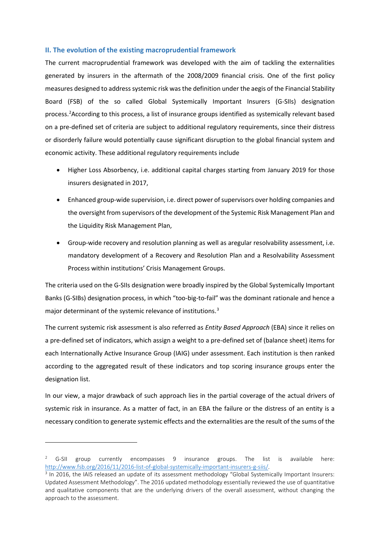## **II. The evolution of the existing macroprudential framework**

The current macroprudential framework was developed with the aim of tackling the externalities generated by insurers in the aftermath of the 2008/2009 financial crisis. One of the first policy measures designed to address systemic risk was the definition under the aegis of the Financial Stability Board (FSB) of the so called Global Systemically Important Insurers (G-SIIs) designation process.<sup>[2](#page-2-0)</sup> According to this process, a list of insurance groups identified as systemically relevant based on a pre-defined set of criteria are subject to additional regulatory requirements, since their distress or disorderly failure would potentially cause significant disruption to the global financial system and economic activity. These additional regulatory requirements include

- Higher Loss Absorbency, i.e. additional capital charges starting from January 2019 for those insurers designated in 2017,
- Enhanced group-wide supervision, i.e. direct power of supervisors over holding companies and the oversight from supervisors of the development of the Systemic Risk Management Plan and the Liquidity Risk Management Plan,
- Group-wide recovery and resolution planning as well as aregular resolvability assessment, i.e. mandatory development of a Recovery and Resolution Plan and a Resolvability Assessment Process within institutions' Crisis Management Groups.

The criteria used on the G-SIIs designation were broadly inspired by the Global Systemically Important Banks (G-SIBs) designation process, in which "too-big-to-fail" was the dominant rationale and hence a major determinant of the systemic relevance of institutions.<sup>[3](#page-2-1)</sup>

The current systemic risk assessment is also referred as *Entity Based Approach* (EBA) since it relies on a pre-defined set of indicators, which assign a weight to a pre-defined set of (balance sheet) items for each Internationally Active Insurance Group (IAIG) under assessment. Each institution is then ranked according to the aggregated result of these indicators and top scoring insurance groups enter the designation list.

In our view, a major drawback of such approach lies in the partial coverage of the actual drivers of systemic risk in insurance. As a matter of fact, in an EBA the failure or the distress of an entity is a necessary condition to generate systemic effects and the externalities are the result of the sums of the

 $\overline{a}$ 

<span id="page-2-0"></span><sup>&</sup>lt;sup>2</sup> G-SII group currently encompasses 9 insurance groups. The list is available here: http://www.fsb.org/2016/11/2016-list-of-global-systemically-important-insurers-g-siis/.<br><sup>3</sup> In 2016, the IAIS released an update of its assessment methodology "Global Systemically Important Insurers:

<span id="page-2-1"></span>Updated Assessment Methodology". The 2016 updated methodology essentially reviewed the use of quantitative and qualitative components that are the underlying drivers of the overall assessment, without changing the approach to the assessment.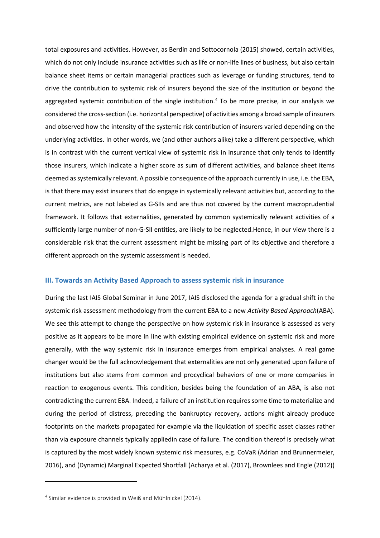total exposures and activities. However, as Berdin and Sottocornola (2015) showed, certain activities, which do not only include insurance activities such as life or non-life lines of business, but also certain balance sheet items or certain managerial practices such as leverage or funding structures, tend to drive the contribution to systemic risk of insurers beyond the size of the institution or beyond the aggregated systemic contribution of the single institution.<sup>[4](#page-3-0)</sup> To be more precise, in our analysis we considered the cross-section (i.e. horizontal perspective) of activities among a broad sample of insurers and observed how the intensity of the systemic risk contribution of insurers varied depending on the underlying activities. In other words, we (and other authors alike) take a different perspective, which is in contrast with the current vertical view of systemic risk in insurance that only tends to identify those insurers, which indicate a higher score as sum of different activities, and balance sheet items deemed as systemically relevant. A possible consequence of the approach currently in use, i.e. the EBA, is that there may exist insurers that do engage in systemically relevant activities but, according to the current metrics, are not labeled as G-SIIs and are thus not covered by the current macroprudential framework. It follows that externalities, generated by common systemically relevant activities of a sufficiently large number of non-G-SII entities, are likely to be neglected.Hence, in our view there is a considerable risk that the current assessment might be missing part of its objective and therefore a different approach on the systemic assessment is needed.

#### **III. Towards an Activity Based Approach to assess systemic risk in insurance**

During the last IAIS Global Seminar in June 2017, IAIS disclosed the agenda for a gradual shift in the systemic risk assessment methodology from the current EBA to a new *Activity Based Approach*(ABA). We see this attempt to change the perspective on how systemic risk in insurance is assessed as very positive as it appears to be more in line with existing empirical evidence on systemic risk and more generally, with the way systemic risk in insurance emerges from empirical analyses. A real game changer would be the full acknowledgement that externalities are not only generated upon failure of institutions but also stems from common and procyclical behaviors of one or more companies in reaction to exogenous events. This condition, besides being the foundation of an ABA, is also not contradicting the current EBA. Indeed, a failure of an institution requires some time to materialize and during the period of distress, preceding the bankruptcy recovery, actions might already produce footprints on the markets propagated for example via the liquidation of specific asset classes rather than via exposure channels typically appliedin case of failure. The condition thereof is precisely what is captured by the most widely known systemic risk measures, e.g. CoVaR (Adrian and Brunnermeier, 2016), and (Dynamic) Marginal Expected Shortfall (Acharya et al. (2017), Brownlees and Engle (2012))

 $\overline{a}$ 

<span id="page-3-0"></span><sup>4</sup> Similar evidence is provided in Weiß and Mühlnickel (2014).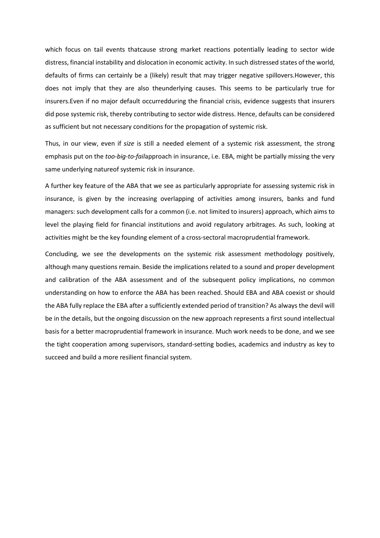which focus on tail events thatcause strong market reactions potentially leading to sector wide distress, financial instability and dislocation in economic activity. In such distressed states of the world, defaults of firms can certainly be a (likely) result that may trigger negative spillovers.However, this does not imply that they are also theunderlying causes. This seems to be particularly true for insurers.Even if no major default occurredduring the financial crisis, evidence suggests that insurers did pose systemic risk, thereby contributing to sector wide distress. Hence, defaults can be considered as sufficient but not necessary conditions for the propagation of systemic risk.

Thus, in our view, even if *size* is still a needed element of a systemic risk assessment, the strong emphasis put on the *too-big-to-fail*approach in insurance, i.e. EBA, might be partially missing the very same underlying natureof systemic risk in insurance.

A further key feature of the ABA that we see as particularly appropriate for assessing systemic risk in insurance, is given by the increasing overlapping of activities among insurers, banks and fund managers: such development calls for a common (i.e. not limited to insurers) approach, which aims to level the playing field for financial institutions and avoid regulatory arbitrages. As such, looking at activities might be the key founding element of a cross-sectoral macroprudential framework.

Concluding, we see the developments on the systemic risk assessment methodology positively, although many questions remain. Beside the implications related to a sound and proper development and calibration of the ABA assessment and of the subsequent policy implications, no common understanding on how to enforce the ABA has been reached. Should EBA and ABA coexist or should the ABA fully replace the EBA after a sufficiently extended period of transition? As always the devil will be in the details, but the ongoing discussion on the new approach represents a first sound intellectual basis for a better macroprudential framework in insurance. Much work needs to be done, and we see the tight cooperation among supervisors, standard-setting bodies, academics and industry as key to succeed and build a more resilient financial system.